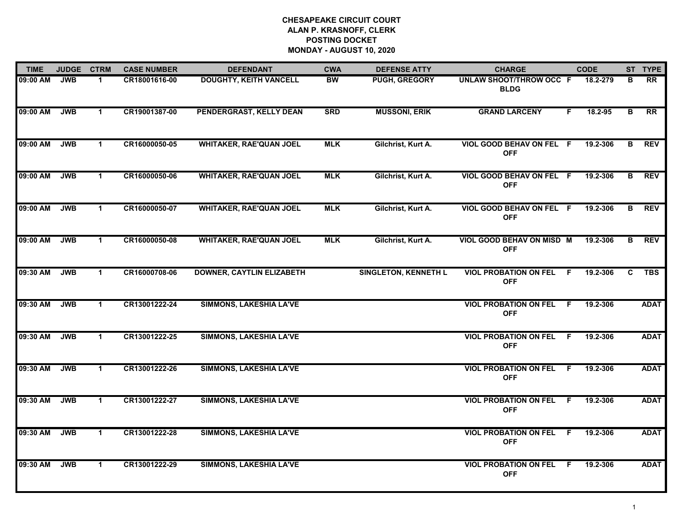| <b>TIME</b> | <b>JUDGE</b> | <b>CTRM</b>  | <b>CASE NUMBER</b> | <b>DEFENDANT</b>                 | <b>CWA</b> | <b>DEFENSE ATTY</b>         | <b>CHARGE</b>                                 | <b>CODE</b>     | ST TYPE          |
|-------------|--------------|--------------|--------------------|----------------------------------|------------|-----------------------------|-----------------------------------------------|-----------------|------------------|
| 09:00 AM    | <b>JWB</b>   | $\mathbf 1$  | CR18001616-00      | <b>DOUGHTY, KEITH VANCELL</b>    | <b>BW</b>  | PUGH, GREGORY               | <b>UNLAW SHOOT/THROW OCC F</b><br><b>BLDG</b> | 18.2-279        | <b>RR</b><br>в   |
| 09:00 AM    | <b>JWB</b>   | $\mathbf{1}$ | CR19001387-00      | PENDERGRAST, KELLY DEAN          | <b>SRD</b> | <b>MUSSONI, ERIK</b>        | <b>GRAND LARCENY</b>                          | 18.2-95<br>F.   | <b>RR</b><br>в   |
| 09:00 AM    | <b>JWB</b>   | $\mathbf{1}$ | CR16000050-05      | <b>WHITAKER, RAE'QUAN JOEL</b>   | <b>MLK</b> | Gilchrist, Kurt A.          | VIOL GOOD BEHAV ON FEL F<br><b>OFF</b>        | 19.2-306        | <b>REV</b><br>B  |
| 09:00 AM    | <b>JWB</b>   | $\mathbf 1$  | CR16000050-06      | <b>WHITAKER, RAE'QUAN JOEL</b>   | <b>MLK</b> | Gilchrist, Kurt A.          | VIOL GOOD BEHAV ON FEL F<br><b>OFF</b>        | 19.2-306        | <b>REV</b><br>в  |
| 09:00 AM    | <b>JWB</b>   | $\mathbf{1}$ | CR16000050-07      | <b>WHITAKER, RAE'QUAN JOEL</b>   | <b>MLK</b> | Gilchrist, Kurt A.          | VIOL GOOD BEHAV ON FEL F<br><b>OFF</b>        | 19.2-306        | <b>REV</b><br>B  |
| 09:00 AM    | <b>JWB</b>   | $\mathbf{1}$ | CR16000050-08      | <b>WHITAKER, RAE'QUAN JOEL</b>   | <b>MLK</b> | Gilchrist, Kurt A.          | VIOL GOOD BEHAV ON MISD M<br><b>OFF</b>       | 19.2-306        | <b>REV</b><br>B  |
| 09:30 AM    | <b>JWB</b>   | $\mathbf{1}$ | CR16000708-06      | <b>DOWNER, CAYTLIN ELIZABETH</b> |            | <b>SINGLETON, KENNETH L</b> | <b>VIOL PROBATION ON FEL</b><br><b>OFF</b>    | F.<br>19.2-306  | <b>TBS</b><br>C. |
| 09:30 AM    | <b>JWB</b>   | $\mathbf 1$  | CR13001222-24      | <b>SIMMONS, LAKESHIA LA'VE</b>   |            |                             | <b>VIOL PROBATION ON FEL</b><br><b>OFF</b>    | 19.2-306<br>F.  | <b>ADAT</b>      |
| 09:30 AM    | <b>JWB</b>   | $\mathbf{1}$ | CR13001222-25      | <b>SIMMONS, LAKESHIA LA'VE</b>   |            |                             | <b>VIOL PROBATION ON FEL</b><br><b>OFF</b>    | 19.2-306<br>F.  | <b>ADAT</b>      |
| 09:30 AM    | <b>JWB</b>   | $\mathbf{1}$ | CR13001222-26      | <b>SIMMONS, LAKESHIA LA'VE</b>   |            |                             | <b>VIOL PROBATION ON FEL F</b><br><b>OFF</b>  | 19.2-306        | <b>ADAT</b>      |
| 09:30 AM    | <b>JWB</b>   | $\mathbf 1$  | CR13001222-27      | <b>SIMMONS, LAKESHIA LA'VE</b>   |            |                             | <b>VIOL PROBATION ON FEL</b><br><b>OFF</b>    | 19.2-306<br>- F | <b>ADAT</b>      |
| 09:30 AM    | <b>JWB</b>   | $\mathbf{1}$ | CR13001222-28      | <b>SIMMONS, LAKESHIA LA'VE</b>   |            |                             | <b>VIOL PROBATION ON FEL</b><br><b>OFF</b>    | 19.2-306<br>-F  | <b>ADAT</b>      |
| 09:30 AM    | <b>JWB</b>   | $\mathbf 1$  | CR13001222-29      | SIMMONS, LAKESHIA LA'VE          |            |                             | <b>VIOL PROBATION ON FEL</b><br><b>OFF</b>    | 19.2-306<br>-F  | <b>ADAT</b>      |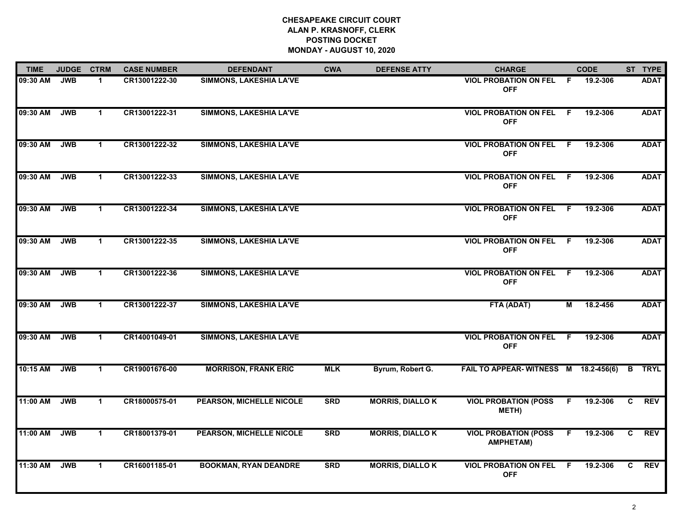| <b>TIME</b> | <b>JUDGE</b> | <b>CTRM</b>    | <b>CASE NUMBER</b> | <b>DEFENDANT</b>                | <b>CWA</b> | <b>DEFENSE ATTY</b>    | <b>CHARGE</b>                                   |     | <b>CODE</b> |                | ST TYPE       |
|-------------|--------------|----------------|--------------------|---------------------------------|------------|------------------------|-------------------------------------------------|-----|-------------|----------------|---------------|
| 09:30 AM    | <b>JWB</b>   | -1             | CR13001222-30      | <b>SIMMONS, LAKESHIA LA'VE</b>  |            |                        | <b>VIOL PROBATION ON FEL</b><br><b>OFF</b>      | - F | 19.2-306    |                | <b>ADAT</b>   |
| 09:30 AM    | <b>JWB</b>   | $\mathbf{1}$   | CR13001222-31      | <b>SIMMONS, LAKESHIA LA'VE</b>  |            |                        | <b>VIOL PROBATION ON FEL F</b><br><b>OFF</b>    |     | 19.2-306    |                | <b>ADAT</b>   |
| 09:30 AM    | <b>JWB</b>   | $\mathbf{1}$   | CR13001222-32      | SIMMONS, LAKESHIA LA'VE         |            |                        | <b>VIOL PROBATION ON FEL F</b><br><b>OFF</b>    |     | 19.2-306    |                | <b>ADAT</b>   |
| 09:30 AM    | <b>JWB</b>   | $\overline{1}$ | CR13001222-33      | SIMMONS, LAKESHIA LA'VE         |            |                        | <b>VIOL PROBATION ON FEL</b><br><b>OFF</b>      | - F | 19.2-306    |                | <b>ADAT</b>   |
| 09:30 AM    | <b>JWB</b>   | $\mathbf{1}$   | CR13001222-34      | <b>SIMMONS, LAKESHIA LA'VE</b>  |            |                        | <b>VIOL PROBATION ON FEL</b><br><b>OFF</b>      | -F. | 19.2-306    |                | <b>ADAT</b>   |
| 09:30 AM    | <b>JWB</b>   | $\mathbf 1$    | CR13001222-35      | <b>SIMMONS, LAKESHIA LA'VE</b>  |            |                        | <b>VIOL PROBATION ON FEL F</b><br><b>OFF</b>    |     | 19.2-306    |                | <b>ADAT</b>   |
| 09:30 AM    | <b>JWB</b>   | $\mathbf{1}$   | CR13001222-36      | <b>SIMMONS, LAKESHIA LA'VE</b>  |            |                        | <b>VIOL PROBATION ON FEL</b><br><b>OFF</b>      | F.  | 19.2-306    |                | <b>ADAT</b>   |
| 09:30 AM    | <b>JWB</b>   | $\mathbf{1}$   | CR13001222-37      | <b>SIMMONS, LAKESHIA LA'VE</b>  |            |                        | FTA (ADAT)                                      | М   | 18.2-456    |                | <b>ADAT</b>   |
| 09:30 AM    | <b>JWB</b>   | $\mathbf{1}$   | CR14001049-01      | <b>SIMMONS, LAKESHIA LA'VE</b>  |            |                        | <b>VIOL PROBATION ON FEL</b><br><b>OFF</b>      | F.  | 19.2-306    |                | <b>ADAT</b>   |
| 10:15 AM    | <b>JWB</b>   | $\mathbf 1$    | CR19001676-00      | <b>MORRISON, FRANK ERIC</b>     | <b>MLK</b> | Byrum, Robert G.       | FAIL TO APPEAR-WITNESS M 18.2-456(6)            |     |             |                | <b>B</b> TRYL |
| 11:00 AM    | <b>JWB</b>   | $\mathbf 1$    | CR18000575-01      | <b>PEARSON, MICHELLE NICOLE</b> | <b>SRD</b> | <b>MORRIS, DIALLOK</b> | <b>VIOL PROBATION (POSS</b><br>METH)            | F.  | 19.2-306    | C.             | <b>REV</b>    |
| 11:00 AM    | <b>JWB</b>   | $\mathbf{1}$   | CR18001379-01      | <b>PEARSON, MICHELLE NICOLE</b> | <b>SRD</b> | <b>MORRIS, DIALLOK</b> | <b>VIOL PROBATION (POSS</b><br><b>AMPHETAM)</b> | F.  | 19.2-306    | $\overline{c}$ | REV           |
| 11:30 AM    | <b>JWB</b>   | $\mathbf{1}$   | CR16001185-01      | <b>BOOKMAN, RYAN DEANDRE</b>    | <b>SRD</b> | <b>MORRIS, DIALLOK</b> | <b>VIOL PROBATION ON FEL F</b><br><b>OFF</b>    |     | 19.2-306    | C.             | <b>REV</b>    |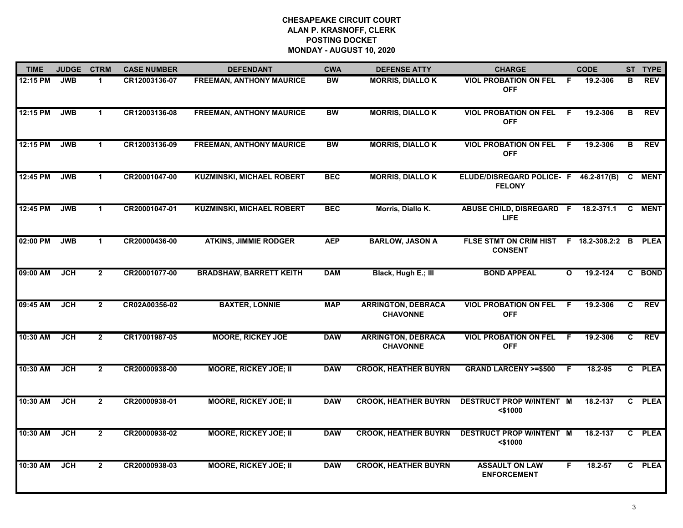| <b>TIME</b> | <b>JUDGE</b> | <b>CTRM</b>    | <b>CASE NUMBER</b> | <b>DEFENDANT</b>                 | <b>CWA</b> | <b>DEFENSE ATTY</b>                          | <b>CHARGE</b>                                                  |              | <b>CODE</b> |    | ST TYPE     |
|-------------|--------------|----------------|--------------------|----------------------------------|------------|----------------------------------------------|----------------------------------------------------------------|--------------|-------------|----|-------------|
| 12:15 PM    | <b>JWB</b>   | $\mathbf{1}$   | CR12003136-07      | <b>FREEMAN, ANTHONY MAURICE</b>  | <b>BW</b>  | <b>MORRIS, DIALLO K</b>                      | <b>VIOL PROBATION ON FEL</b><br><b>OFF</b>                     | F.           | 19.2-306    | В  | <b>REV</b>  |
| 12:15 PM    | <b>JWB</b>   | $\mathbf{1}$   | CR12003136-08      | <b>FREEMAN, ANTHONY MAURICE</b>  | <b>BW</b>  | <b>MORRIS, DIALLOK</b>                       | <b>VIOL PROBATION ON FEL</b><br><b>OFF</b>                     | F.           | 19.2-306    | B  | <b>REV</b>  |
| 12:15 PM    | <b>JWB</b>   | $\mathbf 1$    | CR12003136-09      | <b>FREEMAN, ANTHONY MAURICE</b>  | <b>BW</b>  | <b>MORRIS, DIALLOK</b>                       | <b>VIOL PROBATION ON FEL</b><br><b>OFF</b>                     | F.           | 19.2-306    | B  | <b>REV</b>  |
| 12:45 PM    | <b>JWB</b>   | $\mathbf{1}$   | CR20001047-00      | <b>KUZMINSKI, MICHAEL ROBERT</b> | <b>BEC</b> | <b>MORRIS, DIALLOK</b>                       | ELUDE/DISREGARD POLICE- F 46.2-817(B)<br><b>FELONY</b>         |              |             | C  | <b>MENT</b> |
| 12:45 PM    | <b>JWB</b>   | $\mathbf{1}$   | CR20001047-01      | <b>KUZMINSKI, MICHAEL ROBERT</b> | <b>BEC</b> | Morris, Diallo K.                            | ABUSE CHILD, DISREGARD F 18.2-371.1<br><b>LIFE</b>             |              |             | C  | MENT        |
| 02:00 PM    | <b>JWB</b>   | $\mathbf 1$    | CR20000436-00      | <b>ATKINS, JIMMIE RODGER</b>     | <b>AEP</b> | <b>BARLOW, JASON A</b>                       | FLSE STMT ON CRIM HIST F 18.2-308.2:2 B PLEA<br><b>CONSENT</b> |              |             |    |             |
| 09:00 AM    | JCH          | $\overline{2}$ | CR20001077-00      | <b>BRADSHAW, BARRETT KEITH</b>   | <b>DAM</b> | Black, Hugh E.; III                          | <b>BOND APPEAL</b>                                             | $\mathbf{o}$ | 19.2-124    |    | C BOND      |
| 09:45 AM    | <b>JCH</b>   | $2^{\circ}$    | CR02A00356-02      | <b>BAXTER, LONNIE</b>            | <b>MAP</b> | <b>ARRINGTON, DEBRACA</b><br><b>CHAVONNE</b> | <b>VIOL PROBATION ON FEL</b><br><b>OFF</b>                     | F            | 19.2-306    | C. | <b>REV</b>  |
| 10:30 AM    | <b>JCH</b>   | $\overline{2}$ | CR17001987-05      | <b>MOORE, RICKEY JOE</b>         | <b>DAW</b> | <b>ARRINGTON, DEBRACA</b><br><b>CHAVONNE</b> | <b>VIOL PROBATION ON FEL</b><br><b>OFF</b>                     | F.           | 19.2-306    | C. | <b>REV</b>  |
| 10:30 AM    | <b>JCH</b>   | $\overline{2}$ | CR20000938-00      | <b>MOORE, RICKEY JOE; II</b>     | <b>DAW</b> | <b>CROOK, HEATHER BUYRN</b>                  | <b>GRAND LARCENY &gt;=\$500</b>                                | F.           | 18.2-95     |    | C PLEA      |
| 10:30 AM    | <b>JCH</b>   | $\mathbf{2}$   | CR20000938-01      | <b>MOORE, RICKEY JOE; II</b>     | <b>DAW</b> | <b>CROOK, HEATHER BUYRN</b>                  | <b>DESTRUCT PROP W/INTENT M</b><br><\$1000                     |              | 18.2-137    |    | C PLEA      |
| 10:30 AM    | <b>JCH</b>   | $\overline{2}$ | CR20000938-02      | <b>MOORE, RICKEY JOE; II</b>     | <b>DAW</b> | <b>CROOK, HEATHER BUYRN</b>                  | <b>DESTRUCT PROP W/INTENT M</b><br>$<$ \$1000                  |              | 18.2-137    | C. | <b>PLEA</b> |
| 10:30 AM    | <b>JCH</b>   | $\overline{2}$ | CR20000938-03      | <b>MOORE, RICKEY JOE; II</b>     | <b>DAW</b> | <b>CROOK, HEATHER BUYRN</b>                  | <b>ASSAULT ON LAW</b><br><b>ENFORCEMENT</b>                    | F.           | 18.2-57     |    | C PLEA      |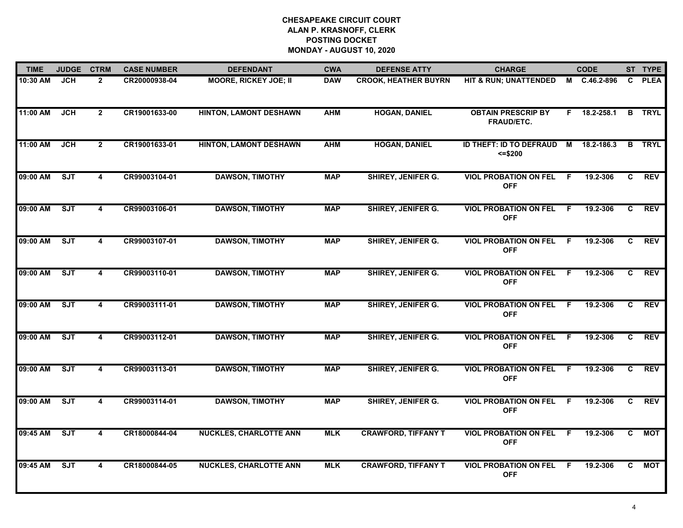| <b>TIME</b> | <b>JUDGE</b> | <b>CTRM</b>             | <b>CASE NUMBER</b> | <b>DEFENDANT</b>              | <b>CWA</b> | <b>DEFENSE ATTY</b>         | <b>CHARGE</b>                                  |     | <b>CODE</b>  |              | ST TYPE       |
|-------------|--------------|-------------------------|--------------------|-------------------------------|------------|-----------------------------|------------------------------------------------|-----|--------------|--------------|---------------|
| 10:30 AM    | <b>JCH</b>   | $\overline{2}$          | CR20000938-04      | <b>MOORE, RICKEY JOE; II</b>  | <b>DAW</b> | <b>CROOK, HEATHER BUYRN</b> | HIT & RUN; UNATTENDED                          |     | M C.46.2-896 |              | C PLEA        |
| 11:00 AM    | <b>JCH</b>   | $\mathbf{2}$            | CR19001633-00      | <b>HINTON, LAMONT DESHAWN</b> | <b>AHM</b> | <b>HOGAN, DANIEL</b>        | <b>OBTAIN PRESCRIP BY</b><br><b>FRAUD/ETC.</b> | F.  | 18.2-258.1   |              | <b>B</b> TRYL |
| 11:00 AM    | <b>JCH</b>   | $2^{\circ}$             | CR19001633-01      | <b>HINTON, LAMONT DESHAWN</b> | <b>AHM</b> | <b>HOGAN, DANIEL</b>        | ID THEFT: ID TO DEFRAUD<br>$= $200$            | M   | 18.2-186.3   |              | <b>B</b> TRYL |
| 09:00 AM    | ST           | 4                       | CR99003104-01      | <b>DAWSON, TIMOTHY</b>        | <b>MAP</b> | <b>SHIREY, JENIFER G.</b>   | <b>VIOL PROBATION ON FEL</b><br><b>OFF</b>     | F.  | 19.2-306     | C.           | <b>REV</b>    |
| 09:00 AM    | SJT          | 4                       | CR99003106-01      | <b>DAWSON, TIMOTHY</b>        | <b>MAP</b> | <b>SHIREY, JENIFER G.</b>   | <b>VIOL PROBATION ON FEL</b><br><b>OFF</b>     | F.  | 19.2-306     | C            | <b>REV</b>    |
| 09:00 AM    | SJT          | $\overline{\mathbf{4}}$ | CR99003107-01      | <b>DAWSON, TIMOTHY</b>        | <b>MAP</b> | <b>SHIREY, JENIFER G.</b>   | <b>VIOL PROBATION ON FEL</b><br><b>OFF</b>     | - F | 19.2-306     | C.           | <b>REV</b>    |
| 09:00 AM    | ST           | 4                       | CR99003110-01      | <b>DAWSON, TIMOTHY</b>        | <b>MAP</b> | <b>SHIREY, JENIFER G.</b>   | <b>VIOL PROBATION ON FEL</b><br><b>OFF</b>     | F.  | 19.2-306     | C            | <b>REV</b>    |
| 09:00 AM    | SJT          | $\overline{\mathbf{4}}$ | CR99003111-01      | <b>DAWSON, TIMOTHY</b>        | <b>MAP</b> | <b>SHIREY, JENIFER G.</b>   | <b>VIOL PROBATION ON FEL</b><br><b>OFF</b>     | F   | 19.2-306     | C            | <b>REV</b>    |
| 09:00 AM    | <b>SJT</b>   | 4                       | CR99003112-01      | <b>DAWSON, TIMOTHY</b>        | <b>MAP</b> | <b>SHIREY, JENIFER G.</b>   | <b>VIOL PROBATION ON FEL</b><br><b>OFF</b>     | .F  | 19.2-306     | C.           | <b>REV</b>    |
| 09:00 AM    | SJT          | 4                       | CR99003113-01      | <b>DAWSON, TIMOTHY</b>        | <b>MAP</b> | SHIREY, JENIFER G.          | <b>VIOL PROBATION ON FEL</b><br><b>OFF</b>     | F   | 19.2-306     | C            | <b>REV</b>    |
| 09:00 AM    | SJT          | 4                       | CR99003114-01      | <b>DAWSON, TIMOTHY</b>        | <b>MAP</b> | <b>SHIREY, JENIFER G.</b>   | <b>VIOL PROBATION ON FEL</b><br><b>OFF</b>     | F.  | 19.2-306     | C            | <b>REV</b>    |
| 09:45 AM    | SJT          | 4                       | CR18000844-04      | <b>NUCKLES, CHARLOTTE ANN</b> | <b>MLK</b> | <b>CRAWFORD, TIFFANY T</b>  | <b>VIOL PROBATION ON FEL</b><br><b>OFF</b>     | F.  | 19.2-306     | $\mathbf{c}$ | <b>MOT</b>    |
| 09:45 AM    | ST           | $\overline{\mathbf{4}}$ | CR18000844-05      | <b>NUCKLES, CHARLOTTE ANN</b> | <b>MLK</b> | <b>CRAWFORD, TIFFANY T</b>  | <b>VIOL PROBATION ON FEL</b><br><b>OFF</b>     | F.  | 19.2-306     | C.           | <b>MOT</b>    |